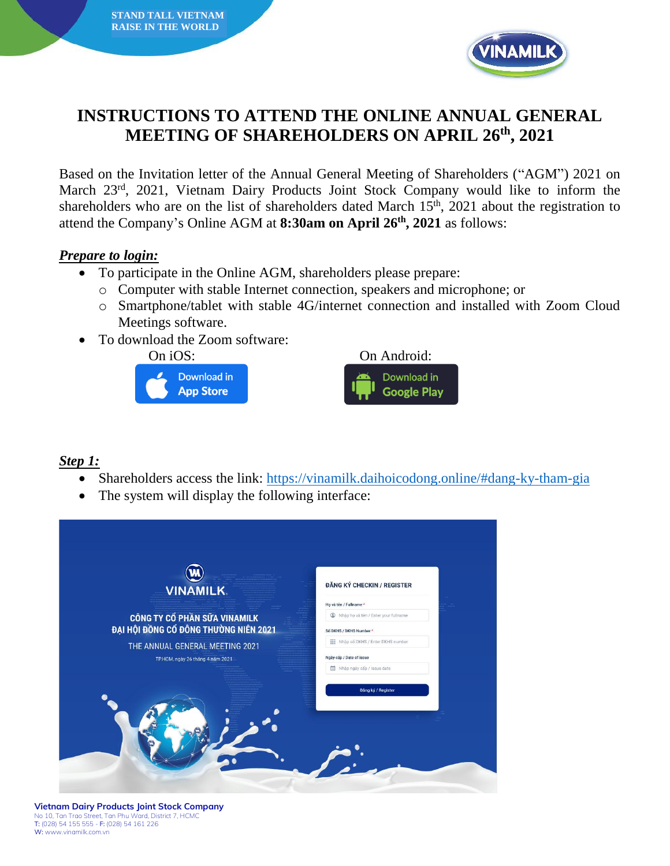

# **INSTRUCTIONS TO ATTEND THE ONLINE ANNUAL GENERAL MEETING OF SHAREHOLDERS ON APRIL 26th , 2021**

Based on the Invitation letter of the Annual General Meeting of Shareholders ("AGM") 2021 on March 23rd, 2021, Vietnam Dairy Products Joint Stock Company would like to inform the shareholders who are on the list of shareholders dated March 15<sup>th</sup>, 2021 about the registration to attend the Company's Online AGM at **8:30am on April 26th, 2021** as follows:

### *Prepare to login:*

- To participate in the Online AGM, shareholders please prepare:
	- o Computer with stable Internet connection, speakers and microphone; or
	- o Smartphone/tablet with stable 4G/internet connection and installed with Zoom Cloud Meetings software.
- To download the Zoom software:

**STAND TALL VIETNAM RAISE IN THE WORLD**





# *Step 1:*

- Shareholders access the link:<https://vinamilk.daihoicodong.online/#dang-ky-tham-gia>
- The system will display the following interface:

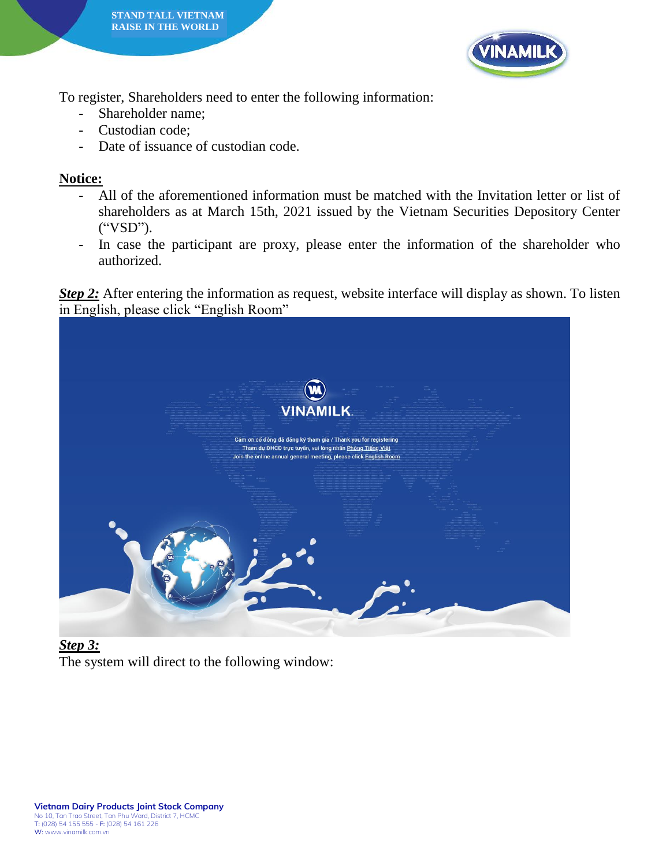

To register, Shareholders need to enter the following information:

Shareholder name;

**STAND TALL VIETNAM RAISE IN THE WORLD**

- Custodian code;
- Date of issuance of custodian code.

## **Notice:**

- All of the aforementioned information must be matched with the Invitation letter or list of shareholders as at March 15th, 2021 issued by the Vietnam Securities Depository Center ("VSD").
- In case the participant are proxy, please enter the information of the shareholder who authorized.

**Step 2:** After entering the information as request, website interface will display as shown. To listen in English, please click "English Room"



*Step 3:* The system will direct to the following window: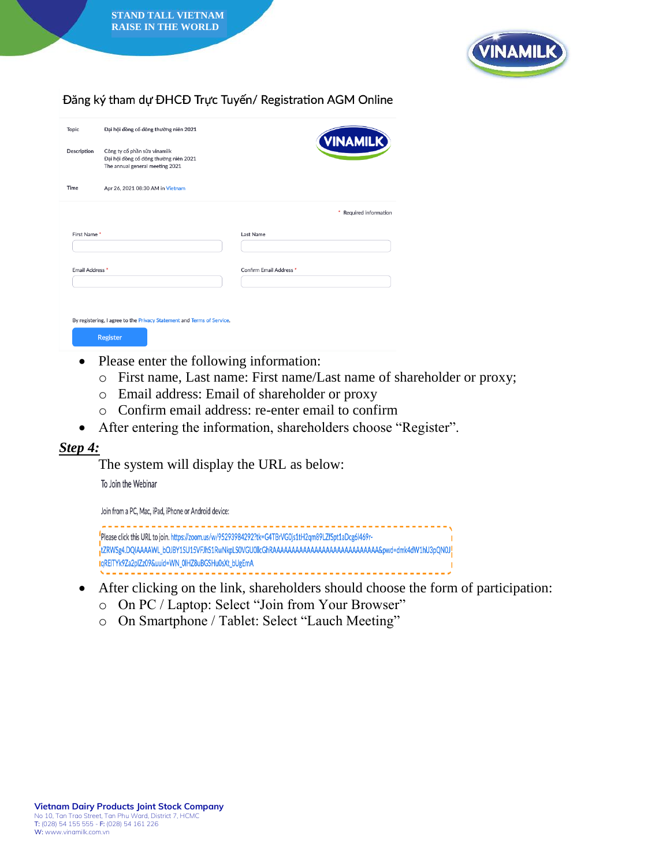



### Đăng ký tham dự ĐHCĐ Trực Tuyến/ Registration AGM Online

| Topic<br>Description | Đại hội đồng cổ đông thường niên 2021<br>Công ty cổ phần sữa vinamilk<br>Đại hội đồng cổ đông thường niên 2021<br>The annual general meeting 2021 | VINAMILK                |
|----------------------|---------------------------------------------------------------------------------------------------------------------------------------------------|-------------------------|
| Time                 | Apr 26, 2021 08:30 AM in Vietnam                                                                                                                  |                         |
|                      |                                                                                                                                                   | * Required information  |
| First Name*          |                                                                                                                                                   | Last Name               |
| Email Address *      |                                                                                                                                                   | Confirm Email Address * |
|                      | By registering, I agree to the Privacy Statement and Terms of Service.                                                                            |                         |

- Please enter the following information:
	- o First name, Last name: First name/Last name of shareholder or proxy;
	- o Email address: Email of shareholder or proxy
	- o Confirm email address: re-enter email to confirm
- After entering the information, shareholders choose "Register".

#### *Step 4:*

The system will display the URL as below:

To Join the Webinar

Join from a PC, Mac, iPad, iPhone or Android device:

Please click this URL to join. https://zoom.us/w/95293984292?tk=G4TBrVG0js1tH2qm89LZfSpt1aDcg6l469r-<sub>I</sub>tZRWSg4.DQIAAAAWL\_bOJBY1SU15VFJhS1RwNkpLS0VGU0llcGhRAAAAAAAAAAAAAAAAAAAAAAAAAAAA&pwd=dmk4dW1hU3pQN0J! IqREITYk9Za2pIZz09&uuid=WN\_0IHZ8uBGSHu0sXt\_bUgEmA

- After clicking on the link, shareholders should choose the form of participation:
	- o On PC / Laptop: Select "Join from Your Browser"
	- o On Smartphone / Tablet: Select "Lauch Meeting"